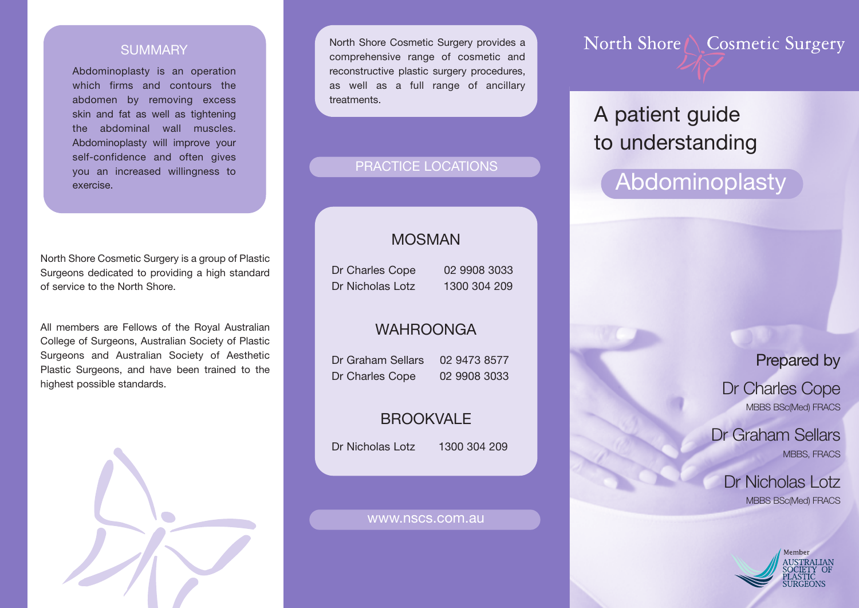### **SUMMARY**

Abdominoplasty is an operation which firms and contours the abdomen by removing excess skin and fat as well as tightening the abdominal wall muscles. Abdominoplasty will improve your self-confidence and often gives you an increased willingness to exercise.

North Shore Cosmetic Surgery is a group of Plastic Surgeons dedicated to providing a high standard of service to the North Shore.

All members are Fellows of the Royal Australian College of Surgeons, Australian Society of Plastic Surgeons and Australian Society of Aesthetic Plastic Surgeons, and have been trained to the highest possible standards.



North Shore Cosmetic Surgery provides a comprehensive range of cosmetic and reconstructive plastic surgery procedures, as well as a full range of ancillary **treatments** 

### PRACTICE LOCATIONS

### MOSMAN

Dr Charles Cope 02 9908 3033 Dr Nicholas Lotz 1300 304 209

### WAHROONGA

Dr Graham Sellars 02 9473 8577 Dr Charles Cope 02 9908 3033

## BROOKVALE

Dr Nicholas Lotz 1300 304 209

#### www.nscs.com.au

North Shore \ Cosmetic Surgery

# A patient guide to understanding

# Abdominoplasty

Prepared by

Dr Charles Cope MBBS BSc(Med) FRACS

Dr Graham Sellars MBBS, FRACS

> Dr Nicholas Lotz MBBS BSc(Med) FRACS